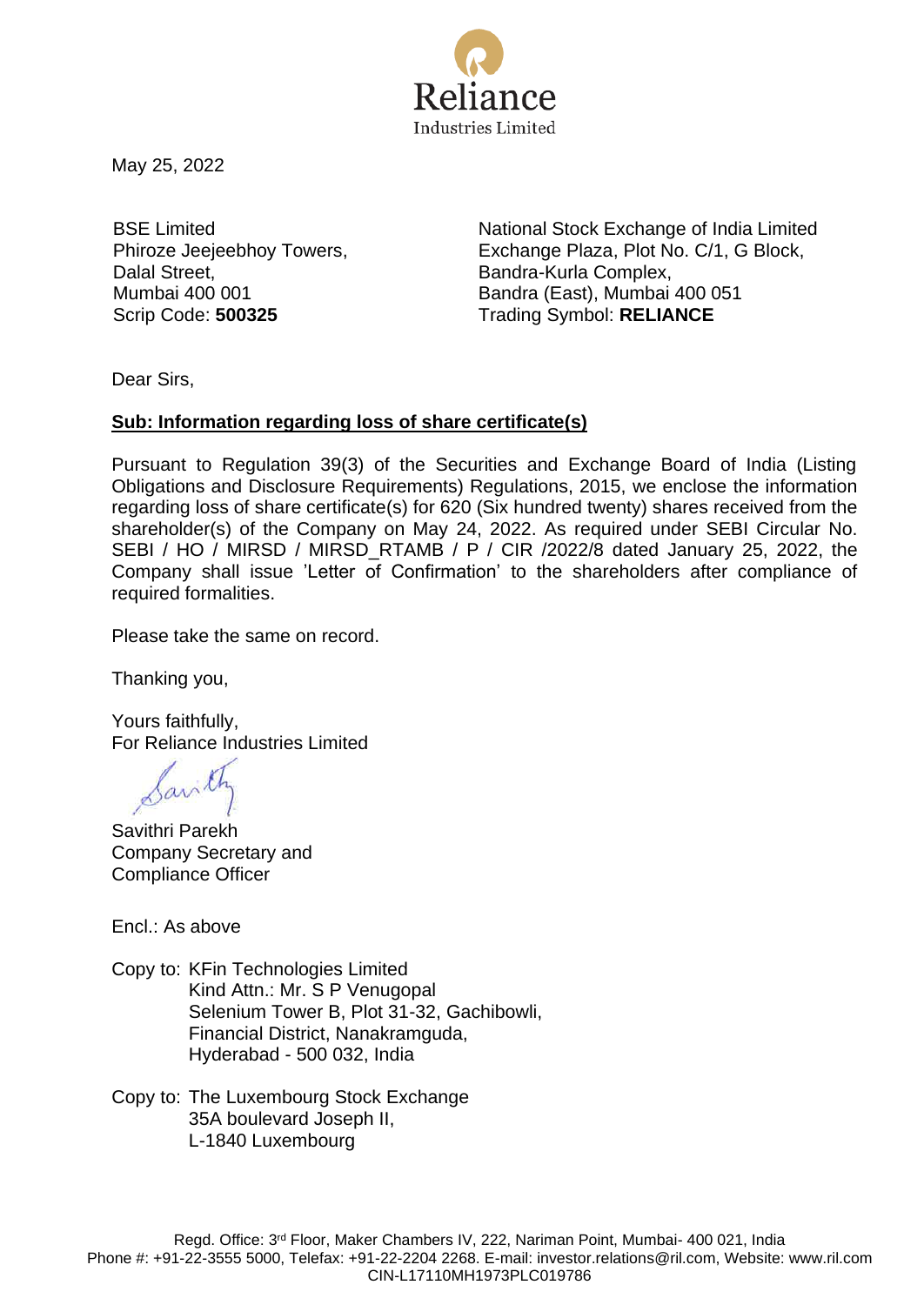

May 25, 2022

BSE Limited Phiroze Jeejeebhoy Towers, Dalal Street, Mumbai 400 001

National Stock Exchange of India Limited Exchange Plaza, Plot No. C/1, G Block, Bandra-Kurla Complex, Bandra (East), Mumbai 400 051 Scrip Code: **500325** Trading Symbol: **RELIANCE** 

Dear Sirs,

## **Sub: Information regarding loss of share certificate(s)**

Pursuant to Regulation 39(3) of the Securities and Exchange Board of India (Listing Obligations and Disclosure Requirements) Regulations, 2015, we enclose the information regarding loss of share certificate(s) for 620 (Six hundred twenty) shares received from the shareholder(s) of the Company on May 24, 2022. As required under SEBI Circular No. SEBI / HO / MIRSD / MIRSD\_RTAMB / P / CIR /2022/8 dated January 25, 2022, the Company shall issue 'Letter of Confirmation' to the shareholders after compliance of required formalities.

Please take the same on record.

Thanking you,

Yours faithfully, For Reliance Industries Limited

Santh

Savithri Parekh Company Secretary and Compliance Officer

Encl.: As above

Copy to: KFin Technologies Limited Kind Attn.: Mr. S P Venugopal Selenium Tower B, Plot 31-32, Gachibowli, Financial District, Nanakramguda, Hyderabad - 500 032, India

Copy to: The Luxembourg Stock Exchange 35A boulevard Joseph II, L-1840 Luxembourg